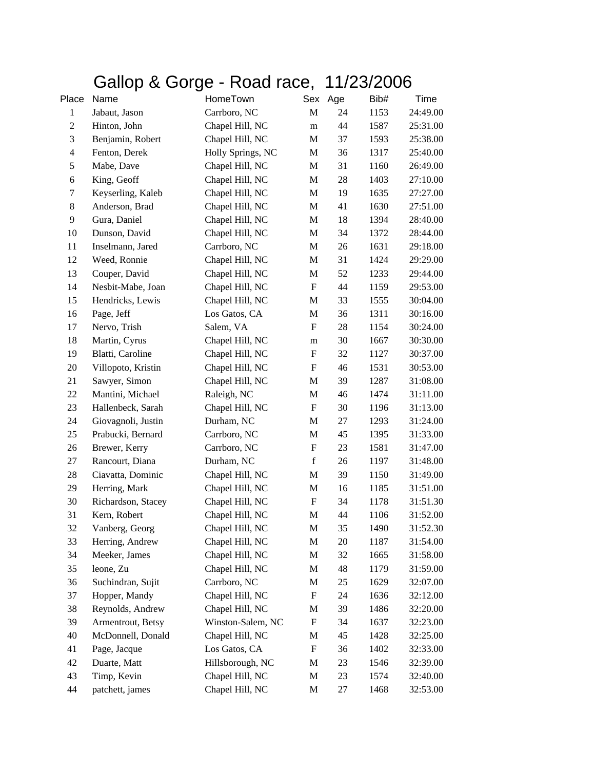## Gallop & Gorge - Road race, 11/23/2006

| Place            | Name               | HomeTown          |                           | Sex Age | Bib# | Time     |
|------------------|--------------------|-------------------|---------------------------|---------|------|----------|
| $\mathbf{1}$     | Jabaut, Jason      | Carrboro, NC      | M                         | 24      | 1153 | 24:49.00 |
| $\boldsymbol{2}$ | Hinton, John       | Chapel Hill, NC   | m                         | 44      | 1587 | 25:31.00 |
| $\mathfrak{Z}$   | Benjamin, Robert   | Chapel Hill, NC   | M                         | 37      | 1593 | 25:38.00 |
| $\overline{4}$   | Fenton, Derek      | Holly Springs, NC | M                         | 36      | 1317 | 25:40.00 |
| 5                | Mabe, Dave         | Chapel Hill, NC   | $\mathbf M$               | 31      | 1160 | 26:49.00 |
| $\sqrt{6}$       | King, Geoff        | Chapel Hill, NC   | M                         | 28      | 1403 | 27:10.00 |
| 7                | Keyserling, Kaleb  | Chapel Hill, NC   | M                         | 19      | 1635 | 27:27.00 |
| 8                | Anderson, Brad     | Chapel Hill, NC   | M                         | 41      | 1630 | 27:51.00 |
| 9                | Gura, Daniel       | Chapel Hill, NC   | M                         | 18      | 1394 | 28:40.00 |
| 10               | Dunson, David      | Chapel Hill, NC   | M                         | 34      | 1372 | 28:44.00 |
| 11               | Inselmann, Jared   | Carrboro, NC      | M                         | 26      | 1631 | 29:18.00 |
| 12               | Weed, Ronnie       | Chapel Hill, NC   | $\mathbf M$               | 31      | 1424 | 29:29.00 |
| 13               | Couper, David      | Chapel Hill, NC   | M                         | 52      | 1233 | 29:44.00 |
| 14               | Nesbit-Mabe, Joan  | Chapel Hill, NC   | ${\bf F}$                 | 44      | 1159 | 29:53.00 |
| 15               | Hendricks, Lewis   | Chapel Hill, NC   | $\mathbf M$               | 33      | 1555 | 30:04.00 |
| 16               | Page, Jeff         | Los Gatos, CA     | M                         | 36      | 1311 | 30:16.00 |
| 17               | Nervo, Trish       | Salem, VA         | F                         | 28      | 1154 | 30:24.00 |
| 18               | Martin, Cyrus      | Chapel Hill, NC   | m                         | 30      | 1667 | 30:30.00 |
| 19               | Blatti, Caroline   | Chapel Hill, NC   | $\boldsymbol{\mathrm{F}}$ | 32      | 1127 | 30:37.00 |
| 20               | Villopoto, Kristin | Chapel Hill, NC   | F                         | 46      | 1531 | 30:53.00 |
| 21               | Sawyer, Simon      | Chapel Hill, NC   | M                         | 39      | 1287 | 31:08.00 |
| 22               | Mantini, Michael   | Raleigh, NC       | M                         | 46      | 1474 | 31:11.00 |
| 23               | Hallenbeck, Sarah  | Chapel Hill, NC   | F                         | 30      | 1196 | 31:13.00 |
| 24               | Giovagnoli, Justin | Durham, NC        | M                         | 27      | 1293 | 31:24.00 |
| 25               | Prabucki, Bernard  | Carrboro, NC      | $\mathbf M$               | 45      | 1395 | 31:33.00 |
| 26               | Brewer, Kerry      | Carrboro, NC      | ${\bf F}$                 | 23      | 1581 | 31:47.00 |
| 27               | Rancourt, Diana    | Durham, NC        | $\mathbf f$               | 26      | 1197 | 31:48.00 |
| 28               | Ciavatta, Dominic  | Chapel Hill, NC   | M                         | 39      | 1150 | 31:49.00 |
| 29               | Herring, Mark      | Chapel Hill, NC   | M                         | 16      | 1185 | 31:51.00 |
| 30               | Richardson, Stacey | Chapel Hill, NC   | F                         | 34      | 1178 | 31:51.30 |
| 31               | Kern, Robert       | Chapel Hill, NC   | $\mathbf M$               | 44      | 1106 | 31:52.00 |
| 32               | Vanberg, Georg     | Chapel Hill, NC   | M                         | 35      | 1490 | 31:52.30 |
| 33               | Herring, Andrew    | Chapel Hill, NC   | M                         | 20      | 1187 | 31:54.00 |
| 34               | Meeker, James      | Chapel Hill, NC   | M                         | 32      | 1665 | 31:58.00 |
| 35               | leone, Zu          | Chapel Hill, NC   | $\mathbf M$               | 48      | 1179 | 31:59.00 |
| 36               | Suchindran, Sujit  | Carrboro, NC      | M                         | 25      | 1629 | 32:07.00 |
| 37               | Hopper, Mandy      | Chapel Hill, NC   | F                         | 24      | 1636 | 32:12.00 |
| 38               | Reynolds, Andrew   | Chapel Hill, NC   | M                         | 39      | 1486 | 32:20.00 |
| 39               | Armentrout, Betsy  | Winston-Salem, NC | $\boldsymbol{\mathrm{F}}$ | 34      | 1637 | 32:23.00 |
| 40               | McDonnell, Donald  | Chapel Hill, NC   | M                         | 45      | 1428 | 32:25.00 |
| 41               | Page, Jacque       | Los Gatos, CA     | F                         | 36      | 1402 | 32:33.00 |
| 42               | Duarte, Matt       | Hillsborough, NC  | M                         | 23      | 1546 | 32:39.00 |
| 43               | Timp, Kevin        | Chapel Hill, NC   | M                         | 23      | 1574 | 32:40.00 |
| 44               | patchett, james    | Chapel Hill, NC   | M                         | 27      | 1468 | 32:53.00 |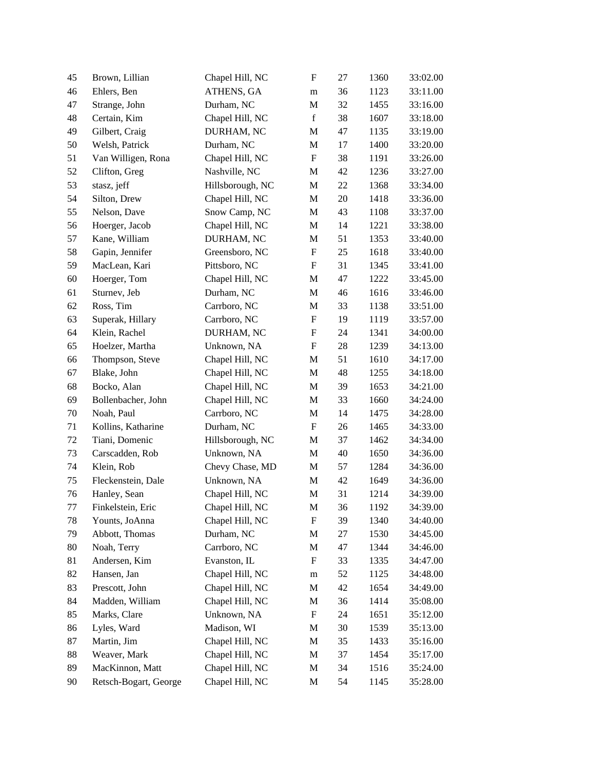| 45     | Brown, Lillian        | Chapel Hill, NC  | F                         | 27 | 1360 | 33:02.00 |
|--------|-----------------------|------------------|---------------------------|----|------|----------|
| 46     | Ehlers, Ben           | ATHENS, GA       | m                         | 36 | 1123 | 33:11.00 |
| 47     | Strange, John         | Durham, NC       | M                         | 32 | 1455 | 33:16.00 |
| 48     | Certain, Kim          | Chapel Hill, NC  | $\mathbf f$               | 38 | 1607 | 33:18.00 |
| 49     | Gilbert, Craig        | DURHAM, NC       | M                         | 47 | 1135 | 33:19.00 |
| 50     | Welsh, Patrick        | Durham, NC       | M                         | 17 | 1400 | 33:20.00 |
| 51     | Van Willigen, Rona    | Chapel Hill, NC  | ${\bf F}$                 | 38 | 1191 | 33:26.00 |
| 52     | Clifton, Greg         | Nashville, NC    | M                         | 42 | 1236 | 33:27.00 |
| 53     | stasz, jeff           | Hillsborough, NC | M                         | 22 | 1368 | 33:34.00 |
| 54     | Silton, Drew          | Chapel Hill, NC  | $\mathbf M$               | 20 | 1418 | 33:36.00 |
| 55     | Nelson, Dave          | Snow Camp, NC    | M                         | 43 | 1108 | 33:37.00 |
| 56     | Hoerger, Jacob        | Chapel Hill, NC  | M                         | 14 | 1221 | 33:38.00 |
| 57     | Kane, William         | DURHAM, NC       | M                         | 51 | 1353 | 33:40.00 |
| 58     | Gapin, Jennifer       | Greensboro, NC   | ${\bf F}$                 | 25 | 1618 | 33:40.00 |
| 59     | MacLean, Kari         | Pittsboro, NC    | F                         | 31 | 1345 | 33:41.00 |
| $60\,$ | Hoerger, Tom          | Chapel Hill, NC  | M                         | 47 | 1222 | 33:45.00 |
| 61     | Sturnev, Jeb          | Durham, NC       | M                         | 46 | 1616 | 33:46.00 |
| 62     | Ross, Tim             | Carrboro, NC     | M                         | 33 | 1138 | 33:51.00 |
| 63     | Superak, Hillary      | Carrboro, NC     | ${\bf F}$                 | 19 | 1119 | 33:57.00 |
| 64     | Klein, Rachel         | DURHAM, NC       | $\boldsymbol{\mathrm{F}}$ | 24 | 1341 | 34:00.00 |
| 65     | Hoelzer, Martha       | Unknown, NA      | F                         | 28 | 1239 | 34:13.00 |
| 66     | Thompson, Steve       | Chapel Hill, NC  | M                         | 51 | 1610 | 34:17.00 |
| 67     | Blake, John           | Chapel Hill, NC  | M                         | 48 | 1255 | 34:18.00 |
| 68     | Bocko, Alan           | Chapel Hill, NC  | M                         | 39 | 1653 | 34:21.00 |
| 69     | Bollenbacher, John    | Chapel Hill, NC  | M                         | 33 | 1660 | 34:24.00 |
| $70\,$ | Noah, Paul            | Carrboro, NC     | M                         | 14 | 1475 | 34:28.00 |
| 71     | Kollins, Katharine    | Durham, NC       | ${\bf F}$                 | 26 | 1465 | 34:33.00 |
| 72     | Tiani, Domenic        | Hillsborough, NC | M                         | 37 | 1462 | 34:34.00 |
| 73     | Carscadden, Rob       | Unknown, NA      | M                         | 40 | 1650 | 34:36.00 |
| 74     | Klein, Rob            | Chevy Chase, MD  | $\mathbf M$               | 57 | 1284 | 34:36.00 |
| 75     | Fleckenstein, Dale    | Unknown, NA      | M                         | 42 | 1649 | 34:36.00 |
| 76     | Hanley, Sean          | Chapel Hill, NC  | $\mathbf M$               | 31 | 1214 | 34:39.00 |
| $77\,$ | Finkelstein, Eric     | Chapel Hill, NC  | M                         | 36 | 1192 | 34:39.00 |
| 78     | Younts, JoAnna        | Chapel Hill, NC  | F                         | 39 | 1340 | 34:40.00 |
| 79     | Abbott, Thomas        | Durham, NC       | M                         | 27 | 1530 | 34:45.00 |
| 80     | Noah, Terry           | Carrboro, NC     | M                         | 47 | 1344 | 34:46.00 |
| 81     | Andersen, Kim         | Evanston, IL     | F                         | 33 | 1335 | 34:47.00 |
| 82     | Hansen, Jan           | Chapel Hill, NC  | m                         | 52 | 1125 | 34:48.00 |
| 83     | Prescott, John        | Chapel Hill, NC  | M                         | 42 | 1654 | 34:49.00 |
| 84     | Madden, William       | Chapel Hill, NC  | M                         | 36 | 1414 | 35:08.00 |
| 85     | Marks, Clare          | Unknown, NA      | F                         | 24 | 1651 | 35:12.00 |
| 86     | Lyles, Ward           | Madison, WI      | M                         | 30 | 1539 | 35:13.00 |
| 87     | Martin, Jim           | Chapel Hill, NC  | M                         | 35 | 1433 | 35:16.00 |
| 88     | Weaver, Mark          | Chapel Hill, NC  | M                         | 37 | 1454 | 35:17.00 |
| 89     | MacKinnon, Matt       | Chapel Hill, NC  | M                         | 34 | 1516 | 35:24.00 |
| 90     | Retsch-Bogart, George | Chapel Hill, NC  | M                         | 54 | 1145 | 35:28.00 |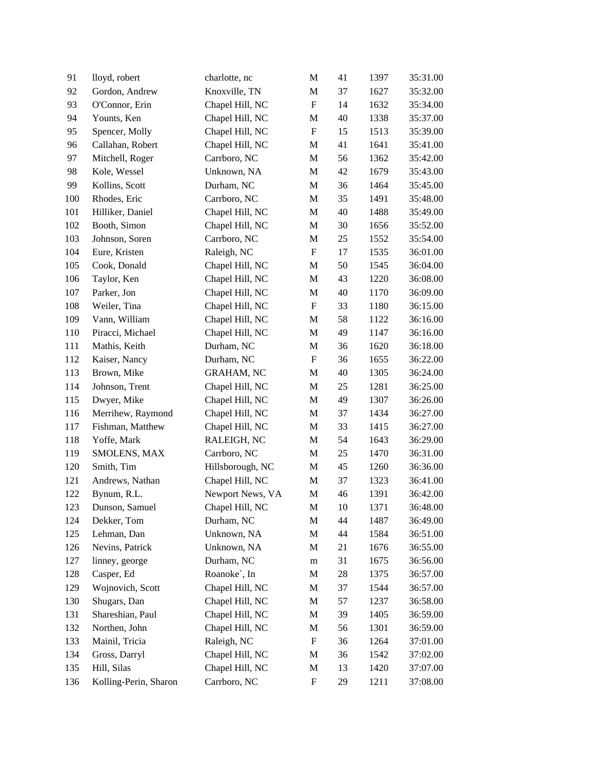| 91  | lloyd, robert         | charlotte, nc     | M                         | 41 | 1397 | 35:31.00 |
|-----|-----------------------|-------------------|---------------------------|----|------|----------|
| 92  | Gordon, Andrew        | Knoxville, TN     | $\mathbf M$               | 37 | 1627 | 35:32.00 |
| 93  | O'Connor, Erin        | Chapel Hill, NC   | $\boldsymbol{\mathrm{F}}$ | 14 | 1632 | 35:34.00 |
| 94  | Younts, Ken           | Chapel Hill, NC   | M                         | 40 | 1338 | 35:37.00 |
| 95  | Spencer, Molly        | Chapel Hill, NC   | $\boldsymbol{\mathrm{F}}$ | 15 | 1513 | 35:39.00 |
| 96  | Callahan, Robert      | Chapel Hill, NC   | M                         | 41 | 1641 | 35:41.00 |
| 97  | Mitchell, Roger       | Carrboro, NC      | $\mathbf M$               | 56 | 1362 | 35:42.00 |
| 98  | Kole, Wessel          | Unknown, NA       | M                         | 42 | 1679 | 35:43.00 |
| 99  | Kollins, Scott        | Durham, NC        | $\mathbf M$               | 36 | 1464 | 35:45.00 |
| 100 | Rhodes, Eric          | Carrboro, NC      | M                         | 35 | 1491 | 35:48.00 |
| 101 | Hilliker, Daniel      | Chapel Hill, NC   | M                         | 40 | 1488 | 35:49.00 |
| 102 | Booth, Simon          | Chapel Hill, NC   | M                         | 30 | 1656 | 35:52.00 |
| 103 | Johnson, Soren        | Carrboro, NC      | $\mathbf M$               | 25 | 1552 | 35:54.00 |
| 104 | Eure, Kristen         | Raleigh, NC       | $\boldsymbol{\mathrm{F}}$ | 17 | 1535 | 36:01.00 |
| 105 | Cook, Donald          | Chapel Hill, NC   | M                         | 50 | 1545 | 36:04.00 |
| 106 | Taylor, Ken           | Chapel Hill, NC   | M                         | 43 | 1220 | 36:08.00 |
| 107 | Parker, Jon           | Chapel Hill, NC   | M                         | 40 | 1170 | 36:09.00 |
| 108 | Weiler, Tina          | Chapel Hill, NC   | $\boldsymbol{\mathrm{F}}$ | 33 | 1180 | 36:15.00 |
| 109 | Vann, William         | Chapel Hill, NC   | M                         | 58 | 1122 | 36:16.00 |
| 110 | Piracci, Michael      | Chapel Hill, NC   | $\mathbf M$               | 49 | 1147 | 36:16.00 |
| 111 | Mathis, Keith         | Durham, NC        | M                         | 36 | 1620 | 36:18.00 |
| 112 | Kaiser, Nancy         | Durham, NC        | $\boldsymbol{\mathrm{F}}$ | 36 | 1655 | 36:22.00 |
| 113 | Brown, Mike           | <b>GRAHAM, NC</b> | M                         | 40 | 1305 | 36:24.00 |
| 114 | Johnson, Trent        | Chapel Hill, NC   | M                         | 25 | 1281 | 36:25.00 |
| 115 | Dwyer, Mike           | Chapel Hill, NC   | M                         | 49 | 1307 | 36:26.00 |
| 116 | Merrihew, Raymond     | Chapel Hill, NC   | M                         | 37 | 1434 | 36:27.00 |
| 117 | Fishman, Matthew      | Chapel Hill, NC   | M                         | 33 | 1415 | 36:27.00 |
| 118 | Yoffe, Mark           | RALEIGH, NC       | M                         | 54 | 1643 | 36:29.00 |
| 119 | SMOLENS, MAX          | Carrboro, NC      | M                         | 25 | 1470 | 36:31.00 |
| 120 | Smith, Tim            | Hillsborough, NC  | M                         | 45 | 1260 | 36:36.00 |
| 121 | Andrews, Nathan       | Chapel Hill, NC   | M                         | 37 | 1323 | 36:41.00 |
| 122 | Bynum, R.L.           | Newport News, VA  | $\mathbf M$               | 46 | 1391 | 36:42.00 |
| 123 | Dunson, Samuel        | Chapel Hill, NC   | M                         | 10 | 1371 | 36:48.00 |
| 124 | Dekker, Tom           | Durham, NC        | M                         | 44 | 1487 | 36:49.00 |
| 125 | Lehman, Dan           | Unknown, NA       | M                         | 44 | 1584 | 36:51.00 |
| 126 | Nevins, Patrick       | Unknown, NA       | M                         | 21 | 1676 | 36:55.00 |
| 127 | linney, george        | Durham, NC        | ${\bf m}$                 | 31 | 1675 | 36:56.00 |
| 128 | Casper, Ed            | Roanoke`, In      | M                         | 28 | 1375 | 36:57.00 |
| 129 | Wojnovich, Scott      | Chapel Hill, NC   | M                         | 37 | 1544 | 36:57.00 |
| 130 | Shugars, Dan          | Chapel Hill, NC   | M                         | 57 | 1237 | 36:58.00 |
| 131 | Shareshian, Paul      | Chapel Hill, NC   | M                         | 39 | 1405 | 36:59.00 |
| 132 | Northen, John         | Chapel Hill, NC   | M                         | 56 | 1301 | 36:59.00 |
| 133 | Mainil, Tricia        | Raleigh, NC       | F                         | 36 | 1264 | 37:01.00 |
| 134 | Gross, Darryl         | Chapel Hill, NC   | M                         | 36 | 1542 | 37:02.00 |
| 135 | Hill, Silas           | Chapel Hill, NC   | М                         | 13 | 1420 | 37:07.00 |
| 136 | Kolling-Perin, Sharon | Carrboro, NC      | $\boldsymbol{\mathrm{F}}$ | 29 | 1211 | 37:08.00 |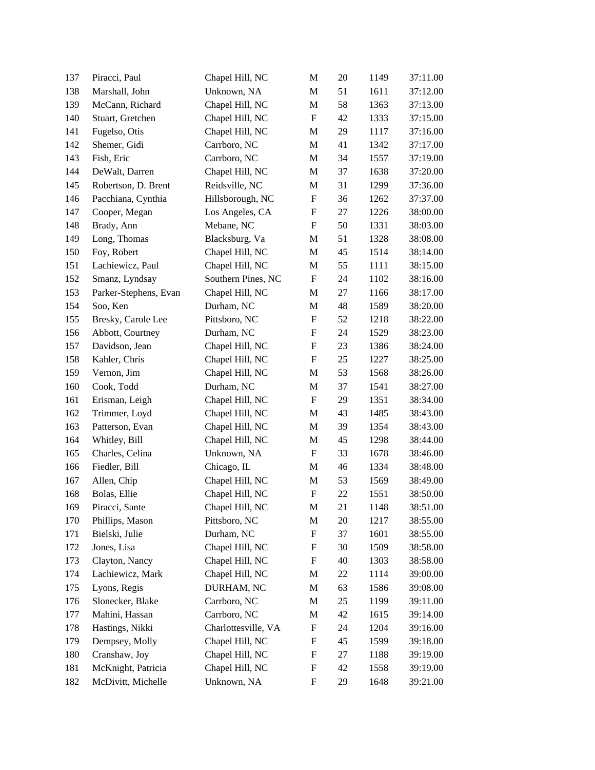| 137 | Piracci, Paul         | Chapel Hill, NC     | M                         | 20 | 1149 | 37:11.00 |
|-----|-----------------------|---------------------|---------------------------|----|------|----------|
| 138 | Marshall, John        | Unknown, NA         | M                         | 51 | 1611 | 37:12.00 |
| 139 | McCann, Richard       | Chapel Hill, NC     | M                         | 58 | 1363 | 37:13.00 |
| 140 | Stuart, Gretchen      | Chapel Hill, NC     | ${\bf F}$                 | 42 | 1333 | 37:15.00 |
| 141 | Fugelso, Otis         | Chapel Hill, NC     | M                         | 29 | 1117 | 37:16.00 |
| 142 | Shemer, Gidi          | Carrboro, NC        | M                         | 41 | 1342 | 37:17.00 |
| 143 | Fish, Eric            | Carrboro, NC        | M                         | 34 | 1557 | 37:19.00 |
| 144 | DeWalt, Darren        | Chapel Hill, NC     | M                         | 37 | 1638 | 37:20.00 |
| 145 | Robertson, D. Brent   | Reidsville, NC      | M                         | 31 | 1299 | 37:36.00 |
| 146 | Pacchiana, Cynthia    | Hillsborough, NC    | $\boldsymbol{\mathrm{F}}$ | 36 | 1262 | 37:37.00 |
| 147 | Cooper, Megan         | Los Angeles, CA     | ${\bf F}$                 | 27 | 1226 | 38:00.00 |
| 148 | Brady, Ann            | Mebane, NC          | $\boldsymbol{\mathrm{F}}$ | 50 | 1331 | 38:03.00 |
| 149 | Long, Thomas          | Blacksburg, Va      | M                         | 51 | 1328 | 38:08.00 |
| 150 | Foy, Robert           | Chapel Hill, NC     | M                         | 45 | 1514 | 38:14.00 |
| 151 | Lachiewicz, Paul      | Chapel Hill, NC     | M                         | 55 | 1111 | 38:15.00 |
| 152 | Smanz, Lyndsay        | Southern Pines, NC  | ${\bf F}$                 | 24 | 1102 | 38:16.00 |
| 153 | Parker-Stephens, Evan | Chapel Hill, NC     | M                         | 27 | 1166 | 38:17.00 |
| 154 | Soo, Ken              | Durham, NC          | M                         | 48 | 1589 | 38:20.00 |
| 155 | Bresky, Carole Lee    | Pittsboro, NC       | $\boldsymbol{\mathrm{F}}$ | 52 | 1218 | 38:22.00 |
| 156 | Abbott, Courtney      | Durham, NC          | $\boldsymbol{\mathrm{F}}$ | 24 | 1529 | 38:23.00 |
| 157 | Davidson, Jean        | Chapel Hill, NC     | $\boldsymbol{\mathrm{F}}$ | 23 | 1386 | 38:24.00 |
| 158 | Kahler, Chris         | Chapel Hill, NC     | $\boldsymbol{\mathrm{F}}$ | 25 | 1227 | 38:25.00 |
| 159 | Vernon, Jim           | Chapel Hill, NC     | M                         | 53 | 1568 | 38:26.00 |
| 160 | Cook, Todd            | Durham, NC          | M                         | 37 | 1541 | 38:27.00 |
| 161 | Erisman, Leigh        | Chapel Hill, NC     | $\boldsymbol{\mathrm{F}}$ | 29 | 1351 | 38:34.00 |
| 162 | Trimmer, Loyd         | Chapel Hill, NC     | M                         | 43 | 1485 | 38:43.00 |
| 163 | Patterson, Evan       | Chapel Hill, NC     | M                         | 39 | 1354 | 38:43.00 |
| 164 | Whitley, Bill         | Chapel Hill, NC     | M                         | 45 | 1298 | 38:44.00 |
| 165 | Charles, Celina       | Unknown, NA         | ${\bf F}$                 | 33 | 1678 | 38:46.00 |
| 166 | Fiedler, Bill         | Chicago, IL         | M                         | 46 | 1334 | 38:48.00 |
| 167 | Allen, Chip           | Chapel Hill, NC     | M                         | 53 | 1569 | 38:49.00 |
| 168 | Bolas, Ellie          | Chapel Hill, NC     | ${\bf F}$                 | 22 | 1551 | 38:50.00 |
| 169 | Piracci, Sante        | Chapel Hill, NC     | M                         | 21 | 1148 | 38:51.00 |
| 170 | Phillips, Mason       | Pittsboro, NC       | M                         | 20 | 1217 | 38:55.00 |
| 171 | Bielski, Julie        | Durham, NC          | F                         | 37 | 1601 | 38:55.00 |
| 172 | Jones, Lisa           | Chapel Hill, NC     | F                         | 30 | 1509 | 38:58.00 |
| 173 | Clayton, Nancy        | Chapel Hill, NC     | $\boldsymbol{\mathrm{F}}$ | 40 | 1303 | 38:58.00 |
| 174 | Lachiewicz, Mark      | Chapel Hill, NC     | M                         | 22 | 1114 | 39:00.00 |
| 175 | Lyons, Regis          | DURHAM, NC          | M                         | 63 | 1586 | 39:08.00 |
| 176 | Slonecker, Blake      | Carrboro, NC        | M                         | 25 | 1199 | 39:11.00 |
| 177 | Mahini, Hassan        | Carrboro, NC        | M                         | 42 | 1615 | 39:14.00 |
| 178 | Hastings, Nikki       | Charlottesville, VA | F                         | 24 | 1204 | 39:16.00 |
| 179 | Dempsey, Molly        | Chapel Hill, NC     | F                         | 45 | 1599 | 39:18.00 |
| 180 | Cranshaw, Joy         | Chapel Hill, NC     | F                         | 27 | 1188 | 39:19.00 |
| 181 | McKnight, Patricia    | Chapel Hill, NC     | F                         | 42 | 1558 | 39:19.00 |
| 182 | McDivitt, Michelle    | Unknown, NA         | F                         | 29 | 1648 | 39:21.00 |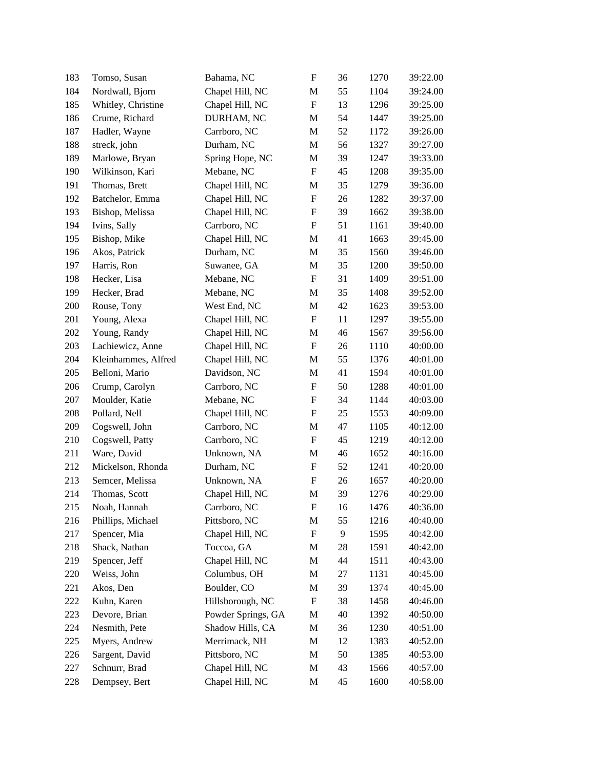| 183 | Tomso, Susan        | Bahama, NC         | $\boldsymbol{\mathrm{F}}$ | 36 | 1270 | 39:22.00 |
|-----|---------------------|--------------------|---------------------------|----|------|----------|
| 184 | Nordwall, Bjorn     | Chapel Hill, NC    | M                         | 55 | 1104 | 39:24.00 |
| 185 | Whitley, Christine  | Chapel Hill, NC    | ${\bf F}$                 | 13 | 1296 | 39:25.00 |
| 186 | Crume, Richard      | DURHAM, NC         | M                         | 54 | 1447 | 39:25.00 |
| 187 | Hadler, Wayne       | Carrboro, NC       | M                         | 52 | 1172 | 39:26.00 |
| 188 | streck, john        | Durham, NC         | M                         | 56 | 1327 | 39:27.00 |
| 189 | Marlowe, Bryan      | Spring Hope, NC    | $\mathbf M$               | 39 | 1247 | 39:33.00 |
| 190 | Wilkinson, Kari     | Mebane, NC         | ${\bf F}$                 | 45 | 1208 | 39:35.00 |
| 191 | Thomas, Brett       | Chapel Hill, NC    | M                         | 35 | 1279 | 39:36.00 |
| 192 | Batchelor, Emma     | Chapel Hill, NC    | ${\bf F}$                 | 26 | 1282 | 39:37.00 |
| 193 | Bishop, Melissa     | Chapel Hill, NC    | $\boldsymbol{\mathrm{F}}$ | 39 | 1662 | 39:38.00 |
| 194 | Ivins, Sally        | Carrboro, NC       | F                         | 51 | 1161 | 39:40.00 |
| 195 | Bishop, Mike        | Chapel Hill, NC    | M                         | 41 | 1663 | 39:45.00 |
| 196 | Akos, Patrick       | Durham, NC         | M                         | 35 | 1560 | 39:46.00 |
| 197 | Harris, Ron         | Suwanee, GA        | M                         | 35 | 1200 | 39:50.00 |
| 198 | Hecker, Lisa        | Mebane, NC         | ${\bf F}$                 | 31 | 1409 | 39:51.00 |
| 199 | Hecker, Brad        | Mebane, NC         | M                         | 35 | 1408 | 39:52.00 |
| 200 | Rouse, Tony         | West End, NC       | M                         | 42 | 1623 | 39:53.00 |
| 201 | Young, Alexa        | Chapel Hill, NC    | ${\bf F}$                 | 11 | 1297 | 39:55.00 |
| 202 | Young, Randy        | Chapel Hill, NC    | $\mathbf M$               | 46 | 1567 | 39:56.00 |
| 203 | Lachiewicz, Anne    | Chapel Hill, NC    | ${\bf F}$                 | 26 | 1110 | 40:00.00 |
| 204 | Kleinhammes, Alfred | Chapel Hill, NC    | M                         | 55 | 1376 | 40:01.00 |
| 205 | Belloni, Mario      | Davidson, NC       | M                         | 41 | 1594 | 40:01.00 |
| 206 | Crump, Carolyn      | Carrboro, NC       | $\boldsymbol{\mathrm{F}}$ | 50 | 1288 | 40:01.00 |
| 207 | Moulder, Katie      | Mebane, NC         | $\boldsymbol{\mathrm{F}}$ | 34 | 1144 | 40:03.00 |
| 208 | Pollard, Nell       | Chapel Hill, NC    | F                         | 25 | 1553 | 40:09.00 |
| 209 | Cogswell, John      | Carrboro, NC       | M                         | 47 | 1105 | 40:12.00 |
| 210 | Cogswell, Patty     | Carrboro, NC       | F                         | 45 | 1219 | 40:12.00 |
| 211 | Ware, David         | Unknown, NA        | M                         | 46 | 1652 | 40:16.00 |
| 212 | Mickelson, Rhonda   | Durham, NC         | ${\bf F}$                 | 52 | 1241 | 40:20.00 |
| 213 | Semcer, Melissa     | Unknown, NA        | F                         | 26 | 1657 | 40:20.00 |
| 214 | Thomas, Scott       | Chapel Hill, NC    | $\mathbf M$               | 39 | 1276 | 40:29.00 |
| 215 | Noah, Hannah        | Carrboro, NC       | F                         | 16 | 1476 | 40:36.00 |
| 216 | Phillips, Michael   | Pittsboro, NC      | M                         | 55 | 1216 | 40:40.00 |
| 217 | Spencer, Mia        | Chapel Hill, NC    | $\boldsymbol{F}$          | 9  | 1595 | 40:42.00 |
| 218 | Shack, Nathan       | Toccoa, GA         | M                         | 28 | 1591 | 40:42.00 |
| 219 | Spencer, Jeff       | Chapel Hill, NC    | M                         | 44 | 1511 | 40:43.00 |
| 220 | Weiss, John         | Columbus, OH       | M                         | 27 | 1131 | 40:45.00 |
| 221 | Akos, Den           | Boulder, CO        | M                         | 39 | 1374 | 40:45.00 |
| 222 | Kuhn, Karen         | Hillsborough, NC   | $\boldsymbol{\mathrm{F}}$ | 38 | 1458 | 40:46.00 |
| 223 | Devore, Brian       | Powder Springs, GA | M                         | 40 | 1392 | 40:50.00 |
| 224 | Nesmith, Pete       | Shadow Hills, CA   | M                         | 36 | 1230 | 40:51.00 |
| 225 | Myers, Andrew       | Merrimack, NH      | M                         | 12 | 1383 | 40:52.00 |
| 226 | Sargent, David      | Pittsboro, NC      | M                         | 50 | 1385 | 40:53.00 |
| 227 | Schnurr, Brad       | Chapel Hill, NC    | M                         | 43 | 1566 | 40:57.00 |
| 228 | Dempsey, Bert       | Chapel Hill, NC    | M                         | 45 | 1600 | 40:58.00 |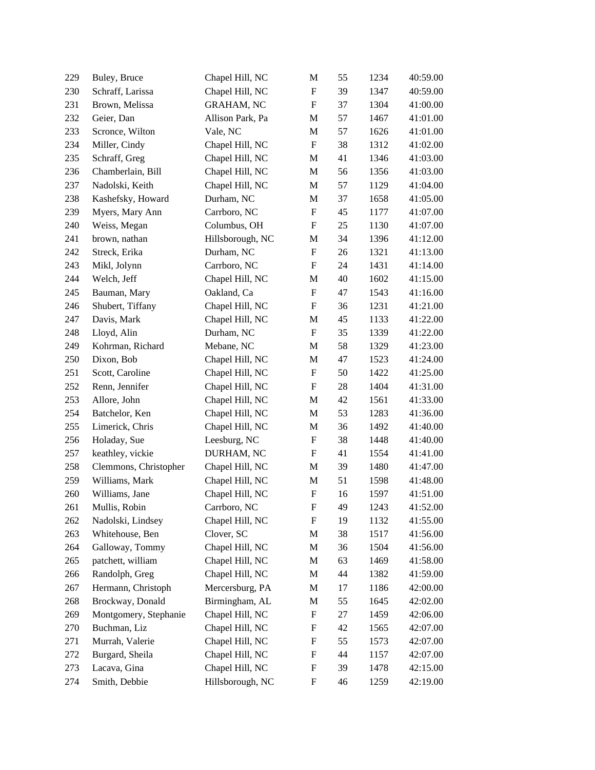| 229 | Buley, Bruce          | Chapel Hill, NC   | M                         | 55 | 1234 | 40:59.00 |
|-----|-----------------------|-------------------|---------------------------|----|------|----------|
| 230 | Schraff, Larissa      | Chapel Hill, NC   | F                         | 39 | 1347 | 40:59.00 |
| 231 | Brown, Melissa        | <b>GRAHAM, NC</b> | $\boldsymbol{\mathrm{F}}$ | 37 | 1304 | 41:00.00 |
| 232 | Geier, Dan            | Allison Park, Pa  | M                         | 57 | 1467 | 41:01.00 |
| 233 | Scronce, Wilton       | Vale, NC          | M                         | 57 | 1626 | 41:01.00 |
| 234 | Miller, Cindy         | Chapel Hill, NC   | $\boldsymbol{\mathrm{F}}$ | 38 | 1312 | 41:02.00 |
| 235 | Schraff, Greg         | Chapel Hill, NC   | M                         | 41 | 1346 | 41:03.00 |
| 236 | Chamberlain, Bill     | Chapel Hill, NC   | M                         | 56 | 1356 | 41:03.00 |
| 237 | Nadolski, Keith       | Chapel Hill, NC   | M                         | 57 | 1129 | 41:04.00 |
| 238 | Kashefsky, Howard     | Durham, NC        | M                         | 37 | 1658 | 41:05.00 |
| 239 | Myers, Mary Ann       | Carrboro, NC      | $\boldsymbol{\mathrm{F}}$ | 45 | 1177 | 41:07.00 |
| 240 | Weiss, Megan          | Columbus, OH      | $\boldsymbol{\mathrm{F}}$ | 25 | 1130 | 41:07.00 |
| 241 | brown, nathan         | Hillsborough, NC  | M                         | 34 | 1396 | 41:12.00 |
| 242 | Streck, Erika         | Durham, NC        | $\boldsymbol{\mathrm{F}}$ | 26 | 1321 | 41:13.00 |
| 243 | Mikl, Jolynn          | Carrboro, NC      | $\boldsymbol{\mathrm{F}}$ | 24 | 1431 | 41:14.00 |
| 244 | Welch, Jeff           | Chapel Hill, NC   | M                         | 40 | 1602 | 41:15.00 |
| 245 | Bauman, Mary          | Oakland, Ca       | $\boldsymbol{\mathrm{F}}$ | 47 | 1543 | 41:16.00 |
| 246 | Shubert, Tiffany      | Chapel Hill, NC   | $\boldsymbol{\mathrm{F}}$ | 36 | 1231 | 41:21.00 |
| 247 | Davis, Mark           | Chapel Hill, NC   | M                         | 45 | 1133 | 41:22.00 |
| 248 | Lloyd, Alin           | Durham, NC        | $\boldsymbol{\mathrm{F}}$ | 35 | 1339 | 41:22.00 |
| 249 | Kohrman, Richard      | Mebane, NC        | M                         | 58 | 1329 | 41:23.00 |
| 250 | Dixon, Bob            | Chapel Hill, NC   | $\mathbf M$               | 47 | 1523 | 41:24.00 |
| 251 | Scott, Caroline       | Chapel Hill, NC   | $\boldsymbol{\mathrm{F}}$ | 50 | 1422 | 41:25.00 |
| 252 | Renn, Jennifer        | Chapel Hill, NC   | $\boldsymbol{\mathrm{F}}$ | 28 | 1404 | 41:31.00 |
| 253 | Allore, John          | Chapel Hill, NC   | M                         | 42 | 1561 | 41:33.00 |
| 254 | Batchelor, Ken        | Chapel Hill, NC   | M                         | 53 | 1283 | 41:36.00 |
| 255 | Limerick, Chris       | Chapel Hill, NC   | M                         | 36 | 1492 | 41:40.00 |
| 256 | Holaday, Sue          | Leesburg, NC      | F                         | 38 | 1448 | 41:40.00 |
| 257 | keathley, vickie      | DURHAM, NC        | F                         | 41 | 1554 | 41:41.00 |
| 258 | Clemmons, Christopher | Chapel Hill, NC   | M                         | 39 | 1480 | 41:47.00 |
| 259 | Williams, Mark        | Chapel Hill, NC   | M                         | 51 | 1598 | 41:48.00 |
| 260 | Williams, Jane        | Chapel Hill, NC   | $\boldsymbol{\mathrm{F}}$ | 16 | 1597 | 41:51.00 |
| 261 | Mullis, Robin         | Carrboro, NC      | $\boldsymbol{\mathrm{F}}$ | 49 | 1243 | 41:52.00 |
| 262 | Nadolski, Lindsey     | Chapel Hill, NC   | F                         | 19 | 1132 | 41:55.00 |
| 263 | Whitehouse, Ben       | Clover, SC        | M                         | 38 | 1517 | 41:56.00 |
| 264 | Galloway, Tommy       | Chapel Hill, NC   | M                         | 36 | 1504 | 41:56.00 |
| 265 | patchett, william     | Chapel Hill, NC   | M                         | 63 | 1469 | 41:58.00 |
| 266 | Randolph, Greg        | Chapel Hill, NC   | M                         | 44 | 1382 | 41:59.00 |
| 267 | Hermann, Christoph    | Mercersburg, PA   | M                         | 17 | 1186 | 42:00.00 |
| 268 | Brockway, Donald      | Birmingham, AL    | M                         | 55 | 1645 | 42:02.00 |
| 269 | Montgomery, Stephanie | Chapel Hill, NC   | F                         | 27 | 1459 | 42:06.00 |
| 270 | Buchman, Liz          | Chapel Hill, NC   | F                         | 42 | 1565 | 42:07.00 |
| 271 | Murrah, Valerie       | Chapel Hill, NC   | F                         | 55 | 1573 | 42:07.00 |
| 272 | Burgard, Sheila       | Chapel Hill, NC   | F                         | 44 | 1157 | 42:07.00 |
| 273 | Lacava, Gina          | Chapel Hill, NC   | F                         | 39 | 1478 | 42:15.00 |
| 274 | Smith, Debbie         | Hillsborough, NC  | F                         | 46 | 1259 | 42:19.00 |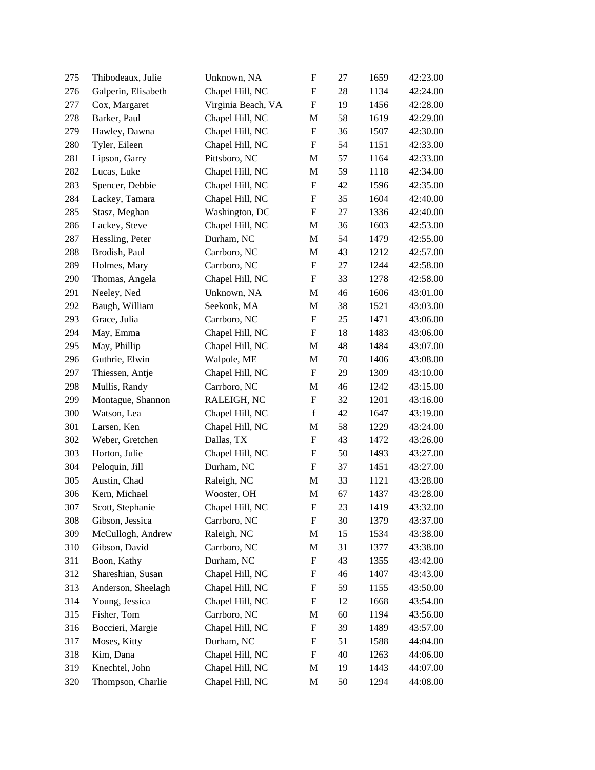| 275 | Thibodeaux, Julie   | Unknown, NA        | $\boldsymbol{\mathrm{F}}$ | 27 | 1659 | 42:23.00 |
|-----|---------------------|--------------------|---------------------------|----|------|----------|
| 276 | Galperin, Elisabeth | Chapel Hill, NC    | $\boldsymbol{\mathrm{F}}$ | 28 | 1134 | 42:24.00 |
| 277 | Cox, Margaret       | Virginia Beach, VA | $\boldsymbol{\mathrm{F}}$ | 19 | 1456 | 42:28.00 |
| 278 | Barker, Paul        | Chapel Hill, NC    | M                         | 58 | 1619 | 42:29.00 |
| 279 | Hawley, Dawna       | Chapel Hill, NC    | ${\bf F}$                 | 36 | 1507 | 42:30.00 |
| 280 | Tyler, Eileen       | Chapel Hill, NC    | $\boldsymbol{\mathrm{F}}$ | 54 | 1151 | 42:33.00 |
| 281 | Lipson, Garry       | Pittsboro, NC      | $\mathbf M$               | 57 | 1164 | 42:33.00 |
| 282 | Lucas, Luke         | Chapel Hill, NC    | M                         | 59 | 1118 | 42:34.00 |
| 283 | Spencer, Debbie     | Chapel Hill, NC    | $\boldsymbol{\mathrm{F}}$ | 42 | 1596 | 42:35.00 |
| 284 | Lackey, Tamara      | Chapel Hill, NC    | $\boldsymbol{\mathrm{F}}$ | 35 | 1604 | 42:40.00 |
| 285 | Stasz, Meghan       | Washington, DC     | ${\bf F}$                 | 27 | 1336 | 42:40.00 |
| 286 | Lackey, Steve       | Chapel Hill, NC    | $\mathbf{M}$              | 36 | 1603 | 42:53.00 |
| 287 | Hessling, Peter     | Durham, NC         | $\mathbf M$               | 54 | 1479 | 42:55.00 |
| 288 | Brodish, Paul       | Carrboro, NC       | M                         | 43 | 1212 | 42:57.00 |
| 289 | Holmes, Mary        | Carrboro, NC       | ${\bf F}$                 | 27 | 1244 | 42:58.00 |
| 290 | Thomas, Angela      | Chapel Hill, NC    | ${\bf F}$                 | 33 | 1278 | 42:58.00 |
| 291 | Neeley, Ned         | Unknown, NA        | $\mathbf M$               | 46 | 1606 | 43:01.00 |
| 292 | Baugh, William      | Seekonk, MA        | $\mathbf{M}$              | 38 | 1521 | 43:03.00 |
| 293 | Grace, Julia        | Carrboro, NC       | $\boldsymbol{\mathrm{F}}$ | 25 | 1471 | 43:06.00 |
| 294 | May, Emma           | Chapel Hill, NC    | $\boldsymbol{\mathrm{F}}$ | 18 | 1483 | 43:06.00 |
| 295 | May, Phillip        | Chapel Hill, NC    | $\mathbf{M}$              | 48 | 1484 | 43:07.00 |
| 296 | Guthrie, Elwin      | Walpole, ME        | M                         | 70 | 1406 | 43:08.00 |
| 297 | Thiessen, Antje     | Chapel Hill, NC    | $\mathbf F$               | 29 | 1309 | 43:10.00 |
| 298 | Mullis, Randy       | Carrboro, NC       | $\mathbf{M}$              | 46 | 1242 | 43:15.00 |
| 299 | Montague, Shannon   | RALEIGH, NC        | $\boldsymbol{\mathrm{F}}$ | 32 | 1201 | 43:16.00 |
| 300 | Watson, Lea         | Chapel Hill, NC    | $\mathbf f$               | 42 | 1647 | 43:19.00 |
| 301 | Larsen, Ken         | Chapel Hill, NC    | $\mathbf M$               | 58 | 1229 | 43:24.00 |
| 302 | Weber, Gretchen     | Dallas, TX         | ${\bf F}$                 | 43 | 1472 | 43:26.00 |
| 303 | Horton, Julie       | Chapel Hill, NC    | F                         | 50 | 1493 | 43:27.00 |
| 304 | Peloquin, Jill      | Durham, NC         | $\boldsymbol{\mathrm{F}}$ | 37 | 1451 | 43:27.00 |
| 305 | Austin, Chad        | Raleigh, NC        | $\mathbf{M}$              | 33 | 1121 | 43:28.00 |
| 306 | Kern, Michael       | Wooster, OH        | $\mathbf M$               | 67 | 1437 | 43:28.00 |
| 307 | Scott, Stephanie    | Chapel Hill, NC    | $\boldsymbol{\mathrm{F}}$ | 23 | 1419 | 43:32.00 |
| 308 | Gibson, Jessica     | Carrboro, NC       | F                         | 30 | 1379 | 43:37.00 |
| 309 | McCullogh, Andrew   | Raleigh, NC        | M                         | 15 | 1534 | 43:38.00 |
| 310 | Gibson, David       | Carrboro, NC       | M                         | 31 | 1377 | 43:38.00 |
| 311 | Boon, Kathy         | Durham, NC         | F                         | 43 | 1355 | 43:42.00 |
| 312 | Shareshian, Susan   | Chapel Hill, NC    | F                         | 46 | 1407 | 43:43.00 |
| 313 | Anderson, Sheelagh  | Chapel Hill, NC    | F                         | 59 | 1155 | 43:50.00 |
| 314 | Young, Jessica      | Chapel Hill, NC    | F                         | 12 | 1668 | 43:54.00 |
| 315 | Fisher, Tom         | Carrboro, NC       | M                         | 60 | 1194 | 43:56.00 |
| 316 | Boccieri, Margie    | Chapel Hill, NC    | F                         | 39 | 1489 | 43:57.00 |
| 317 | Moses, Kitty        | Durham, NC         | F                         | 51 | 1588 | 44:04.00 |
| 318 | Kim, Dana           | Chapel Hill, NC    | F                         | 40 | 1263 | 44:06.00 |
| 319 | Knechtel, John      | Chapel Hill, NC    | M                         | 19 | 1443 | 44:07.00 |
| 320 | Thompson, Charlie   | Chapel Hill, NC    | M                         | 50 | 1294 | 44:08.00 |
|     |                     |                    |                           |    |      |          |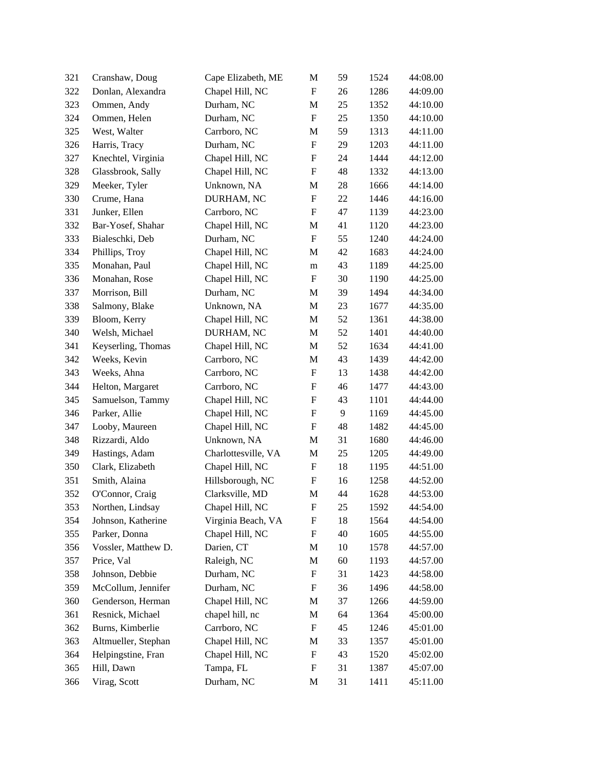| 321 | Cranshaw, Doug      | Cape Elizabeth, ME  | M                         | 59 | 1524 | 44:08.00 |
|-----|---------------------|---------------------|---------------------------|----|------|----------|
| 322 | Donlan, Alexandra   | Chapel Hill, NC     | $\boldsymbol{\mathrm{F}}$ | 26 | 1286 | 44:09.00 |
| 323 | Ommen, Andy         | Durham, NC          | M                         | 25 | 1352 | 44:10.00 |
| 324 | Ommen, Helen        | Durham, NC          | ${\bf F}$                 | 25 | 1350 | 44:10.00 |
| 325 | West, Walter        | Carrboro, NC        | $\mathbf M$               | 59 | 1313 | 44:11.00 |
| 326 | Harris, Tracy       | Durham, NC          | $\boldsymbol{\mathrm{F}}$ | 29 | 1203 | 44:11.00 |
| 327 | Knechtel, Virginia  | Chapel Hill, NC     | $\boldsymbol{\mathrm{F}}$ | 24 | 1444 | 44:12.00 |
| 328 | Glassbrook, Sally   | Chapel Hill, NC     | $\boldsymbol{\mathrm{F}}$ | 48 | 1332 | 44:13.00 |
| 329 | Meeker, Tyler       | Unknown, NA         | M                         | 28 | 1666 | 44:14.00 |
| 330 | Crume, Hana         | DURHAM, NC          | $\boldsymbol{\mathrm{F}}$ | 22 | 1446 | 44:16.00 |
| 331 | Junker, Ellen       | Carrboro, NC        | ${\bf F}$                 | 47 | 1139 | 44:23.00 |
| 332 | Bar-Yosef, Shahar   | Chapel Hill, NC     | M                         | 41 | 1120 | 44:23.00 |
| 333 | Bialeschki, Deb     | Durham, NC          | $\boldsymbol{\mathrm{F}}$ | 55 | 1240 | 44:24.00 |
| 334 | Phillips, Troy      | Chapel Hill, NC     | M                         | 42 | 1683 | 44:24.00 |
| 335 | Monahan, Paul       | Chapel Hill, NC     | ${\rm m}$                 | 43 | 1189 | 44:25.00 |
| 336 | Monahan, Rose       | Chapel Hill, NC     | $\boldsymbol{\mathrm{F}}$ | 30 | 1190 | 44:25.00 |
| 337 | Morrison, Bill      | Durham, NC          | M                         | 39 | 1494 | 44:34.00 |
| 338 | Salmony, Blake      | Unknown, NA         | M                         | 23 | 1677 | 44:35.00 |
| 339 | Bloom, Kerry        | Chapel Hill, NC     | M                         | 52 | 1361 | 44:38.00 |
| 340 | Welsh, Michael      | DURHAM, NC          | M                         | 52 | 1401 | 44:40.00 |
| 341 | Keyserling, Thomas  | Chapel Hill, NC     | M                         | 52 | 1634 | 44:41.00 |
| 342 | Weeks, Kevin        | Carrboro, NC        | M                         | 43 | 1439 | 44:42.00 |
| 343 | Weeks, Ahna         | Carrboro, NC        | $\boldsymbol{\mathrm{F}}$ | 13 | 1438 | 44:42.00 |
| 344 | Helton, Margaret    | Carrboro, NC        | ${\bf F}$                 | 46 | 1477 | 44:43.00 |
| 345 | Samuelson, Tammy    | Chapel Hill, NC     | ${\bf F}$                 | 43 | 1101 | 44:44.00 |
| 346 | Parker, Allie       | Chapel Hill, NC     | ${\bf F}$                 | 9  | 1169 | 44:45.00 |
| 347 | Looby, Maureen      | Chapel Hill, NC     | $\boldsymbol{\mathrm{F}}$ | 48 | 1482 | 44:45.00 |
| 348 | Rizzardi, Aldo      | Unknown, NA         | M                         | 31 | 1680 | 44:46.00 |
| 349 | Hastings, Adam      | Charlottesville, VA | M                         | 25 | 1205 | 44:49.00 |
| 350 | Clark, Elizabeth    | Chapel Hill, NC     | $\boldsymbol{\mathrm{F}}$ | 18 | 1195 | 44:51.00 |
| 351 | Smith, Alaina       | Hillsborough, NC    | ${\bf F}$                 | 16 | 1258 | 44:52.00 |
| 352 | O'Connor, Craig     | Clarksville, MD     | $\mathbf M$               | 44 | 1628 | 44:53.00 |
| 353 | Northen, Lindsay    | Chapel Hill, NC     | $\boldsymbol{\mathrm{F}}$ | 25 | 1592 | 44:54.00 |
| 354 | Johnson, Katherine  | Virginia Beach, VA  | F                         | 18 | 1564 | 44:54.00 |
| 355 | Parker, Donna       | Chapel Hill, NC     | F                         | 40 | 1605 | 44:55.00 |
| 356 | Vossler, Matthew D. | Darien, CT          | M                         | 10 | 1578 | 44:57.00 |
| 357 | Price, Val          | Raleigh, NC         | M                         | 60 | 1193 | 44:57.00 |
| 358 | Johnson, Debbie     | Durham, NC          | F                         | 31 | 1423 | 44:58.00 |
| 359 | McCollum, Jennifer  | Durham, NC          | F                         | 36 | 1496 | 44:58.00 |
| 360 | Genderson, Herman   | Chapel Hill, NC     | M                         | 37 | 1266 | 44:59.00 |
| 361 | Resnick, Michael    | chapel hill, nc     | M                         | 64 | 1364 | 45:00.00 |
| 362 | Burns, Kimberlie    | Carrboro, NC        | F                         | 45 | 1246 | 45:01.00 |
| 363 | Altmueller, Stephan | Chapel Hill, NC     | M                         | 33 | 1357 | 45:01.00 |
| 364 | Helpingstine, Fran  | Chapel Hill, NC     | F                         | 43 | 1520 | 45:02.00 |
| 365 | Hill, Dawn          | Tampa, FL           | F                         | 31 | 1387 | 45:07.00 |
| 366 | Virag, Scott        | Durham, NC          | M                         | 31 | 1411 | 45:11.00 |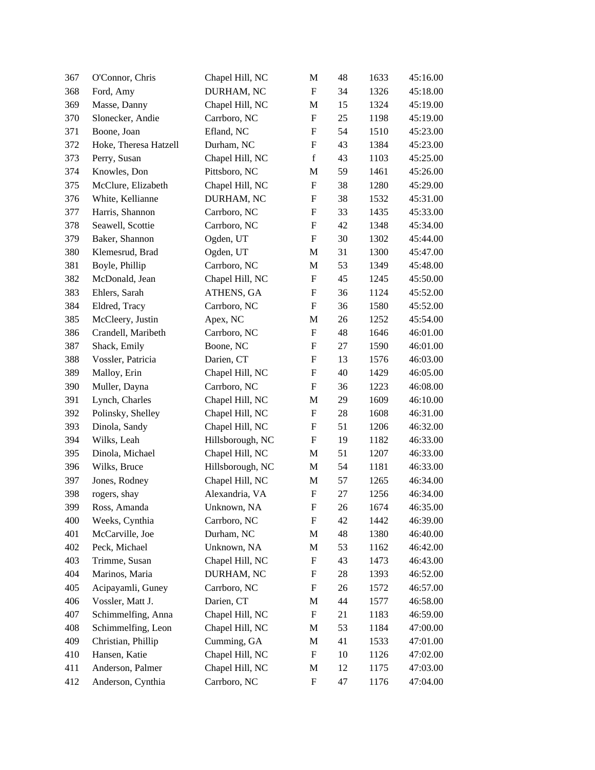| 367 | O'Connor, Chris       | Chapel Hill, NC  | M                         | 48 | 1633 | 45:16.00 |
|-----|-----------------------|------------------|---------------------------|----|------|----------|
| 368 | Ford, Amy             | DURHAM, NC       | $\boldsymbol{\mathrm{F}}$ | 34 | 1326 | 45:18.00 |
| 369 | Masse, Danny          | Chapel Hill, NC  | M                         | 15 | 1324 | 45:19.00 |
| 370 | Slonecker, Andie      | Carrboro, NC     | $\boldsymbol{\mathrm{F}}$ | 25 | 1198 | 45:19.00 |
| 371 | Boone, Joan           | Efland, NC       | $\boldsymbol{\mathrm{F}}$ | 54 | 1510 | 45:23.00 |
| 372 | Hoke, Theresa Hatzell | Durham, NC       | $\boldsymbol{\mathrm{F}}$ | 43 | 1384 | 45:23.00 |
| 373 | Perry, Susan          | Chapel Hill, NC  | $\mathbf f$               | 43 | 1103 | 45:25.00 |
| 374 | Knowles, Don          | Pittsboro, NC    | M                         | 59 | 1461 | 45:26.00 |
| 375 | McClure, Elizabeth    | Chapel Hill, NC  | $\boldsymbol{\mathrm{F}}$ | 38 | 1280 | 45:29.00 |
| 376 | White, Kellianne      | DURHAM, NC       | $\boldsymbol{\mathrm{F}}$ | 38 | 1532 | 45:31.00 |
| 377 | Harris, Shannon       | Carrboro, NC     | $\boldsymbol{\mathrm{F}}$ | 33 | 1435 | 45:33.00 |
| 378 | Seawell, Scottie      | Carrboro, NC     | ${\bf F}$                 | 42 | 1348 | 45:34.00 |
| 379 | Baker, Shannon        | Ogden, UT        | $\boldsymbol{\mathrm{F}}$ | 30 | 1302 | 45:44.00 |
| 380 | Klemesrud, Brad       | Ogden, UT        | M                         | 31 | 1300 | 45:47.00 |
| 381 | Boyle, Phillip        | Carrboro, NC     | M                         | 53 | 1349 | 45:48.00 |
| 382 | McDonald, Jean        | Chapel Hill, NC  | $\boldsymbol{\mathrm{F}}$ | 45 | 1245 | 45:50.00 |
| 383 | Ehlers, Sarah         | ATHENS, GA       | $\boldsymbol{\mathrm{F}}$ | 36 | 1124 | 45:52.00 |
| 384 | Eldred, Tracy         | Carrboro, NC     | $\boldsymbol{\mathrm{F}}$ | 36 | 1580 | 45:52.00 |
| 385 | McCleery, Justin      | Apex, NC         | M                         | 26 | 1252 | 45:54.00 |
| 386 | Crandell, Maribeth    | Carrboro, NC     | $\boldsymbol{\mathrm{F}}$ | 48 | 1646 | 46:01.00 |
| 387 | Shack, Emily          | Boone, NC        | $\boldsymbol{\mathrm{F}}$ | 27 | 1590 | 46:01.00 |
| 388 | Vossler, Patricia     | Darien, CT       | F                         | 13 | 1576 | 46:03.00 |
| 389 | Malloy, Erin          | Chapel Hill, NC  | $\boldsymbol{\mathrm{F}}$ | 40 | 1429 | 46:05.00 |
| 390 | Muller, Dayna         | Carrboro, NC     | $\boldsymbol{\mathrm{F}}$ | 36 | 1223 | 46:08.00 |
| 391 | Lynch, Charles        | Chapel Hill, NC  | M                         | 29 | 1609 | 46:10.00 |
| 392 | Polinsky, Shelley     | Chapel Hill, NC  | $\boldsymbol{F}$          | 28 | 1608 | 46:31.00 |
| 393 | Dinola, Sandy         | Chapel Hill, NC  | $\boldsymbol{\mathrm{F}}$ | 51 | 1206 | 46:32.00 |
| 394 | Wilks, Leah           | Hillsborough, NC | $\boldsymbol{\mathrm{F}}$ | 19 | 1182 | 46:33.00 |
| 395 | Dinola, Michael       | Chapel Hill, NC  | M                         | 51 | 1207 | 46:33.00 |
| 396 | Wilks, Bruce          | Hillsborough, NC | M                         | 54 | 1181 | 46:33.00 |
| 397 | Jones, Rodney         | Chapel Hill, NC  | $\mathbf{M}$              | 57 | 1265 | 46:34.00 |
| 398 | rogers, shay          | Alexandria, VA   | $\boldsymbol{\mathrm{F}}$ | 27 | 1256 | 46:34.00 |
| 399 | Ross, Amanda          | Unknown, NA      | F                         | 26 | 1674 | 46:35.00 |
| 400 | Weeks, Cynthia        | Carrboro, NC     | F                         | 42 | 1442 | 46:39.00 |
| 401 | McCarville, Joe       | Durham, NC       | M                         | 48 | 1380 | 46:40.00 |
| 402 | Peck, Michael         | Unknown, NA      | M                         | 53 | 1162 | 46:42.00 |
| 403 | Trimme, Susan         | Chapel Hill, NC  | F                         | 43 | 1473 | 46:43.00 |
| 404 | Marinos, Maria        | DURHAM, NC       | F                         | 28 | 1393 | 46:52.00 |
| 405 | Acipayamli, Guney     | Carrboro, NC     | F                         | 26 | 1572 | 46:57.00 |
| 406 | Vossler, Matt J.      | Darien, CT       | M                         | 44 | 1577 | 46:58.00 |
| 407 | Schimmelfing, Anna    | Chapel Hill, NC  | $\boldsymbol{\mathrm{F}}$ | 21 | 1183 | 46:59.00 |
| 408 | Schimmelfing, Leon    | Chapel Hill, NC  | M                         | 53 | 1184 | 47:00.00 |
| 409 | Christian, Phillip    | Cumming, GA      | M                         | 41 | 1533 | 47:01.00 |
| 410 | Hansen, Katie         | Chapel Hill, NC  | F                         | 10 | 1126 | 47:02.00 |
| 411 | Anderson, Palmer      | Chapel Hill, NC  | M                         | 12 | 1175 | 47:03.00 |
| 412 | Anderson, Cynthia     | Carrboro, NC     | F                         | 47 | 1176 | 47:04.00 |
|     |                       |                  |                           |    |      |          |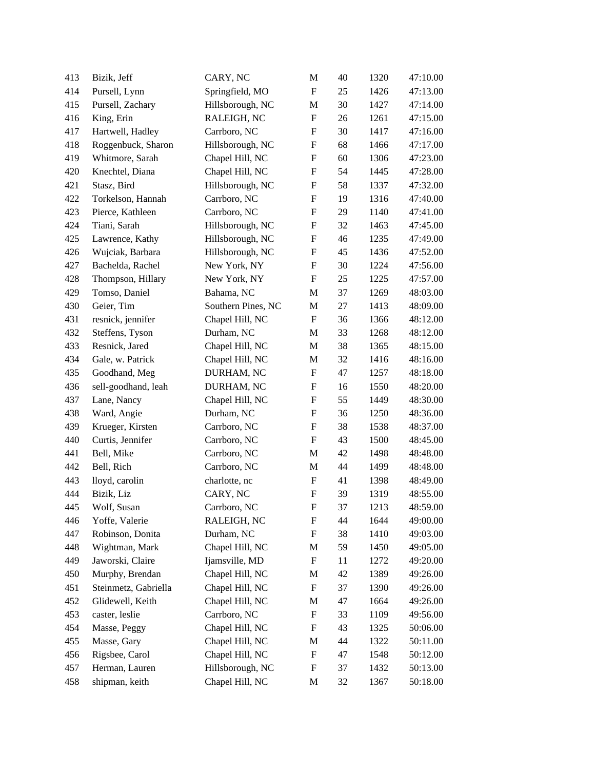| 413 | Bizik, Jeff          | CARY, NC           | M                         | 40 | 1320 | 47:10.00 |
|-----|----------------------|--------------------|---------------------------|----|------|----------|
| 414 | Pursell, Lynn        | Springfield, MO    | ${\bf F}$                 | 25 | 1426 | 47:13.00 |
| 415 | Pursell, Zachary     | Hillsborough, NC   | M                         | 30 | 1427 | 47:14.00 |
| 416 | King, Erin           | RALEIGH, NC        | ${\bf F}$                 | 26 | 1261 | 47:15.00 |
| 417 | Hartwell, Hadley     | Carrboro, NC       | F                         | 30 | 1417 | 47:16.00 |
| 418 | Roggenbuck, Sharon   | Hillsborough, NC   | ${\bf F}$                 | 68 | 1466 | 47:17.00 |
| 419 | Whitmore, Sarah      | Chapel Hill, NC    | $\boldsymbol{\mathrm{F}}$ | 60 | 1306 | 47:23.00 |
| 420 | Knechtel, Diana      | Chapel Hill, NC    | F                         | 54 | 1445 | 47:28.00 |
| 421 | Stasz, Bird          | Hillsborough, NC   | F                         | 58 | 1337 | 47:32.00 |
| 422 | Torkelson, Hannah    | Carrboro, NC       | $\boldsymbol{\mathrm{F}}$ | 19 | 1316 | 47:40.00 |
| 423 | Pierce, Kathleen     | Carrboro, NC       | $\boldsymbol{\mathrm{F}}$ | 29 | 1140 | 47:41.00 |
| 424 | Tiani, Sarah         | Hillsborough, NC   | $\boldsymbol{\mathrm{F}}$ | 32 | 1463 | 47:45.00 |
| 425 | Lawrence, Kathy      | Hillsborough, NC   | $\boldsymbol{\mathrm{F}}$ | 46 | 1235 | 47:49.00 |
| 426 | Wujciak, Barbara     | Hillsborough, NC   | ${\bf F}$                 | 45 | 1436 | 47:52.00 |
| 427 | Bachelda, Rachel     | New York, NY       | F                         | 30 | 1224 | 47:56.00 |
| 428 | Thompson, Hillary    | New York, NY       | ${\bf F}$                 | 25 | 1225 | 47:57.00 |
| 429 | Tomso, Daniel        | Bahama, NC         | M                         | 37 | 1269 | 48:03.00 |
| 430 | Geier, Tim           | Southern Pines, NC | M                         | 27 | 1413 | 48:09.00 |
| 431 | resnick, jennifer    | Chapel Hill, NC    | F                         | 36 | 1366 | 48:12.00 |
| 432 | Steffens, Tyson      | Durham, NC         | $\mathbf M$               | 33 | 1268 | 48:12.00 |
| 433 | Resnick, Jared       | Chapel Hill, NC    | M                         | 38 | 1365 | 48:15.00 |
| 434 | Gale, w. Patrick     | Chapel Hill, NC    | $\mathbf{M}$              | 32 | 1416 | 48:16.00 |
| 435 | Goodhand, Meg        | DURHAM, NC         | $\boldsymbol{\mathrm{F}}$ | 47 | 1257 | 48:18.00 |
| 436 | sell-goodhand, leah  | DURHAM, NC         | $\boldsymbol{\mathrm{F}}$ | 16 | 1550 | 48:20.00 |
| 437 | Lane, Nancy          | Chapel Hill, NC    | F                         | 55 | 1449 | 48:30.00 |
| 438 | Ward, Angie          | Durham, NC         | F                         | 36 | 1250 | 48:36.00 |
| 439 | Krueger, Kirsten     | Carrboro, NC       | $\boldsymbol{\mathrm{F}}$ | 38 | 1538 | 48:37.00 |
| 440 | Curtis, Jennifer     | Carrboro, NC       | $\boldsymbol{\mathrm{F}}$ | 43 | 1500 | 48:45.00 |
| 441 | Bell, Mike           | Carrboro, NC       | $\mathbf{M}$              | 42 | 1498 | 48:48.00 |
| 442 | Bell, Rich           | Carrboro, NC       | M                         | 44 | 1499 | 48:48.00 |
| 443 | lloyd, carolin       | charlotte, nc      | $\boldsymbol{\mathrm{F}}$ | 41 | 1398 | 48:49.00 |
| 444 | Bizik, Liz           | CARY, NC           | $\boldsymbol{\mathrm{F}}$ | 39 | 1319 | 48:55.00 |
| 445 | Wolf, Susan          | Carrboro, NC       | F                         | 37 | 1213 | 48:59.00 |
| 446 | Yoffe, Valerie       | RALEIGH, NC        | F                         | 44 | 1644 | 49:00.00 |
| 447 | Robinson, Donita     | Durham, NC         | F                         | 38 | 1410 | 49:03.00 |
| 448 | Wightman, Mark       | Chapel Hill, NC    | M                         | 59 | 1450 | 49:05.00 |
| 449 | Jaworski, Claire     | Ijamsville, MD     | F                         | 11 | 1272 | 49:20.00 |
| 450 | Murphy, Brendan      | Chapel Hill, NC    | M                         | 42 | 1389 | 49:26.00 |
| 451 | Steinmetz, Gabriella | Chapel Hill, NC    | F                         | 37 | 1390 | 49:26.00 |
| 452 | Glidewell, Keith     | Chapel Hill, NC    | M                         | 47 | 1664 | 49:26.00 |
| 453 | caster, leslie       | Carrboro, NC       | F                         | 33 | 1109 | 49:56.00 |
| 454 | Masse, Peggy         | Chapel Hill, NC    | F                         | 43 | 1325 | 50:06.00 |
| 455 | Masse, Gary          | Chapel Hill, NC    | M                         | 44 | 1322 | 50:11.00 |
| 456 | Rigsbee, Carol       | Chapel Hill, NC    | F                         | 47 | 1548 | 50:12.00 |
| 457 | Herman, Lauren       | Hillsborough, NC   | F                         | 37 | 1432 | 50:13.00 |
| 458 | shipman, keith       | Chapel Hill, NC    | M                         | 32 | 1367 | 50:18.00 |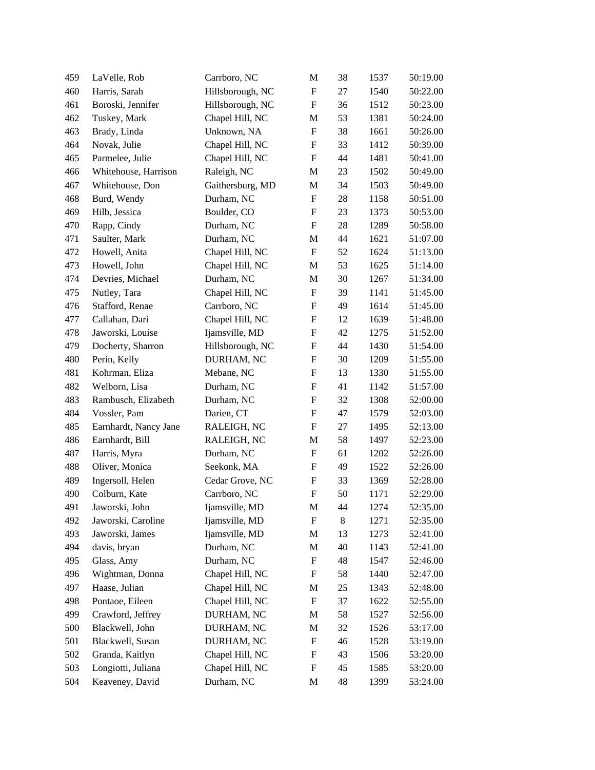| 459 | LaVelle, Rob          | Carrboro, NC     | M                         | 38 | 1537 | 50:19.00 |
|-----|-----------------------|------------------|---------------------------|----|------|----------|
| 460 | Harris, Sarah         | Hillsborough, NC | $\boldsymbol{\mathrm{F}}$ | 27 | 1540 | 50:22.00 |
| 461 | Boroski, Jennifer     | Hillsborough, NC | $\boldsymbol{\mathrm{F}}$ | 36 | 1512 | 50:23.00 |
| 462 | Tuskey, Mark          | Chapel Hill, NC  | M                         | 53 | 1381 | 50:24.00 |
| 463 | Brady, Linda          | Unknown, NA      | $\boldsymbol{\mathrm{F}}$ | 38 | 1661 | 50:26.00 |
| 464 | Novak, Julie          | Chapel Hill, NC  | $\boldsymbol{\mathrm{F}}$ | 33 | 1412 | 50:39.00 |
| 465 | Parmelee, Julie       | Chapel Hill, NC  | $\boldsymbol{\mathrm{F}}$ | 44 | 1481 | 50:41.00 |
| 466 | Whitehouse, Harrison  | Raleigh, NC      | M                         | 23 | 1502 | 50:49.00 |
| 467 | Whitehouse, Don       | Gaithersburg, MD | M                         | 34 | 1503 | 50:49.00 |
| 468 | Burd, Wendy           | Durham, NC       | $\boldsymbol{\mathrm{F}}$ | 28 | 1158 | 50:51.00 |
| 469 | Hilb, Jessica         | Boulder, CO      | $\boldsymbol{\mathrm{F}}$ | 23 | 1373 | 50:53.00 |
| 470 | Rapp, Cindy           | Durham, NC       | $\boldsymbol{\mathrm{F}}$ | 28 | 1289 | 50:58.00 |
| 471 | Saulter, Mark         | Durham, NC       | M                         | 44 | 1621 | 51:07.00 |
| 472 | Howell, Anita         | Chapel Hill, NC  | $\boldsymbol{\mathrm{F}}$ | 52 | 1624 | 51:13.00 |
| 473 | Howell, John          | Chapel Hill, NC  | M                         | 53 | 1625 | 51:14.00 |
| 474 | Devries, Michael      | Durham, NC       | M                         | 30 | 1267 | 51:34.00 |
| 475 | Nutley, Tara          | Chapel Hill, NC  | $\boldsymbol{\mathrm{F}}$ | 39 | 1141 | 51:45.00 |
| 476 | Stafford, Renae       | Carrboro, NC     | $\boldsymbol{\mathrm{F}}$ | 49 | 1614 | 51:45.00 |
| 477 | Callahan, Dari        | Chapel Hill, NC  | $\boldsymbol{\mathrm{F}}$ | 12 | 1639 | 51:48.00 |
| 478 | Jaworski, Louise      | Ijamsville, MD   | $\boldsymbol{\mathrm{F}}$ | 42 | 1275 | 51:52.00 |
| 479 | Docherty, Sharron     | Hillsborough, NC | $\boldsymbol{\mathrm{F}}$ | 44 | 1430 | 51:54.00 |
| 480 | Perin, Kelly          | DURHAM, NC       | F                         | 30 | 1209 | 51:55.00 |
| 481 | Kohrman, Eliza        | Mebane, NC       | F                         | 13 | 1330 | 51:55.00 |
| 482 | Welborn, Lisa         | Durham, NC       | $\boldsymbol{\mathrm{F}}$ | 41 | 1142 | 51:57.00 |
| 483 | Rambusch, Elizabeth   | Durham, NC       | $\boldsymbol{\mathrm{F}}$ | 32 | 1308 | 52:00.00 |
| 484 | Vossler, Pam          | Darien, CT       | $\boldsymbol{\mathrm{F}}$ | 47 | 1579 | 52:03.00 |
| 485 | Earnhardt, Nancy Jane | RALEIGH, NC      | $\boldsymbol{\mathrm{F}}$ | 27 | 1495 | 52:13.00 |
| 486 | Earnhardt, Bill       | RALEIGH, NC      | M                         | 58 | 1497 | 52:23.00 |
| 487 | Harris, Myra          | Durham, NC       | F                         | 61 | 1202 | 52:26.00 |
| 488 | Oliver, Monica        | Seekonk, MA      | $\boldsymbol{\mathrm{F}}$ | 49 | 1522 | 52:26.00 |
| 489 | Ingersoll, Helen      | Cedar Grove, NC  | $\boldsymbol{\mathrm{F}}$ | 33 | 1369 | 52:28.00 |
| 490 | Colburn, Kate         | Carrboro, NC     | $\boldsymbol{\mathrm{F}}$ | 50 | 1171 | 52:29.00 |
| 491 | Jaworski, John        | Ijamsville, MD   | M                         | 44 | 1274 | 52:35.00 |
| 492 | Jaworski, Caroline    | Ijamsville, MD   | F                         | 8  | 1271 | 52:35.00 |
| 493 | Jaworski, James       | Ijamsville, MD   | M                         | 13 | 1273 | 52:41.00 |
| 494 | davis, bryan          | Durham, NC       | M                         | 40 | 1143 | 52:41.00 |
| 495 | Glass, Amy            | Durham, NC       | F                         | 48 | 1547 | 52:46.00 |
| 496 | Wightman, Donna       | Chapel Hill, NC  | F                         | 58 | 1440 | 52:47.00 |
| 497 | Haase, Julian         | Chapel Hill, NC  | M                         | 25 | 1343 | 52:48.00 |
| 498 | Pontaoe, Eileen       | Chapel Hill, NC  | $\boldsymbol{\mathrm{F}}$ | 37 | 1622 | 52:55.00 |
| 499 | Crawford, Jeffrey     | DURHAM, NC       | M                         | 58 | 1527 | 52:56.00 |
| 500 | Blackwell, John       | DURHAM, NC       | M                         | 32 | 1526 | 53:17.00 |
| 501 | Blackwell, Susan      | DURHAM, NC       | F                         | 46 | 1528 | 53:19.00 |
| 502 | Granda, Kaitlyn       | Chapel Hill, NC  | F                         | 43 | 1506 | 53:20.00 |
| 503 | Longiotti, Juliana    | Chapel Hill, NC  | F                         | 45 | 1585 | 53:20.00 |
| 504 | Keaveney, David       | Durham, NC       | M                         | 48 | 1399 | 53:24.00 |